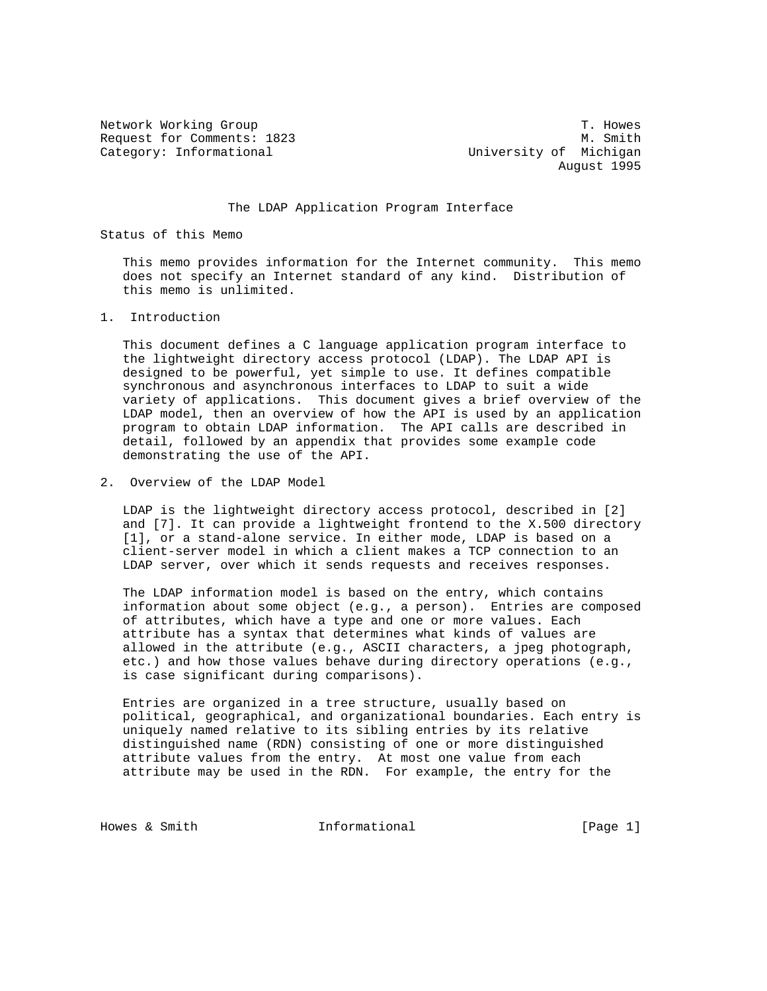Request for Comments: 1823 M. Smith Category: Informational and University of Michigan

Network Working Group T. Howes August 1995

The LDAP Application Program Interface

Status of this Memo

 This memo provides information for the Internet community. This memo does not specify an Internet standard of any kind. Distribution of this memo is unlimited.

1. Introduction

 This document defines a C language application program interface to the lightweight directory access protocol (LDAP). The LDAP API is designed to be powerful, yet simple to use. It defines compatible synchronous and asynchronous interfaces to LDAP to suit a wide variety of applications. This document gives a brief overview of the LDAP model, then an overview of how the API is used by an application program to obtain LDAP information. The API calls are described in detail, followed by an appendix that provides some example code demonstrating the use of the API.

2. Overview of the LDAP Model

 LDAP is the lightweight directory access protocol, described in [2] and [7]. It can provide a lightweight frontend to the X.500 directory [1], or a stand-alone service. In either mode, LDAP is based on a client-server model in which a client makes a TCP connection to an LDAP server, over which it sends requests and receives responses.

 The LDAP information model is based on the entry, which contains information about some object (e.g., a person). Entries are composed of attributes, which have a type and one or more values. Each attribute has a syntax that determines what kinds of values are allowed in the attribute (e.g., ASCII characters, a jpeg photograph, etc.) and how those values behave during directory operations (e.g., is case significant during comparisons).

 Entries are organized in a tree structure, usually based on political, geographical, and organizational boundaries. Each entry is uniquely named relative to its sibling entries by its relative distinguished name (RDN) consisting of one or more distinguished attribute values from the entry. At most one value from each attribute may be used in the RDN. For example, the entry for the

Howes & Smith  $Informational$  [Page 1]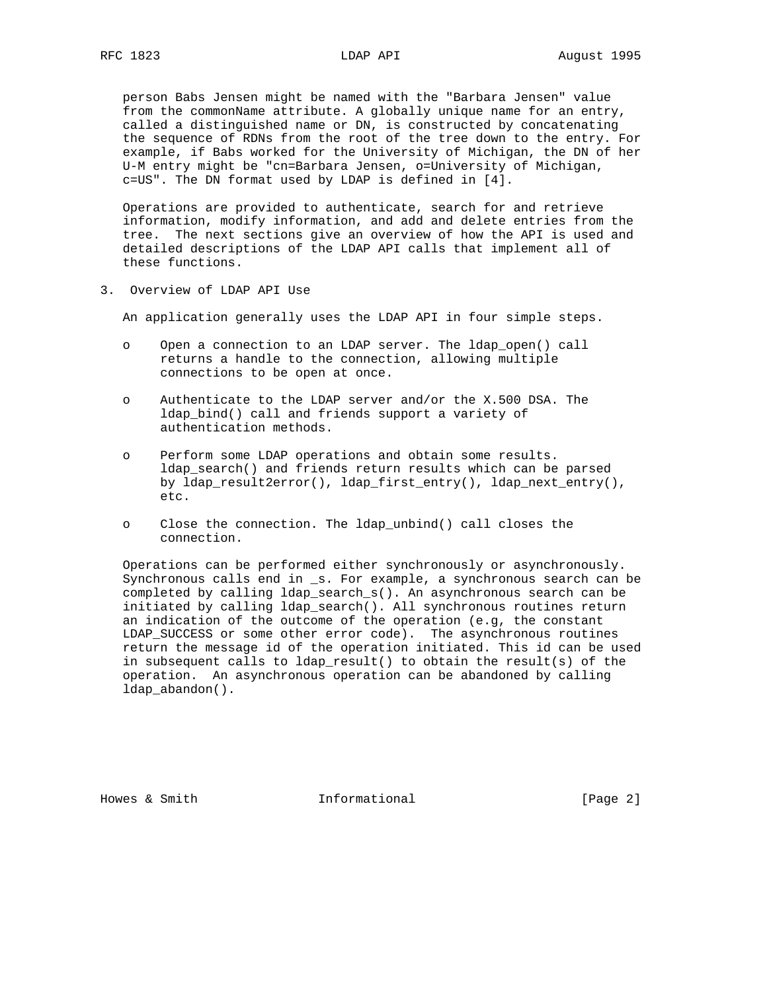person Babs Jensen might be named with the "Barbara Jensen" value from the commonName attribute. A globally unique name for an entry, called a distinguished name or DN, is constructed by concatenating the sequence of RDNs from the root of the tree down to the entry. For example, if Babs worked for the University of Michigan, the DN of her U-M entry might be "cn=Barbara Jensen, o=University of Michigan, c=US". The DN format used by LDAP is defined in [4].

 Operations are provided to authenticate, search for and retrieve information, modify information, and add and delete entries from the tree. The next sections give an overview of how the API is used and detailed descriptions of the LDAP API calls that implement all of these functions.

3. Overview of LDAP API Use

An application generally uses the LDAP API in four simple steps.

- o Open a connection to an LDAP server. The ldap\_open() call returns a handle to the connection, allowing multiple connections to be open at once.
- o Authenticate to the LDAP server and/or the X.500 DSA. The ldap\_bind() call and friends support a variety of authentication methods.
- o Perform some LDAP operations and obtain some results. ldap\_search() and friends return results which can be parsed by ldap\_result2error(), ldap\_first\_entry(), ldap\_next\_entry(), etc.
- o Close the connection. The ldap\_unbind() call closes the connection.

 Operations can be performed either synchronously or asynchronously. Synchronous calls end in \_s. For example, a synchronous search can be completed by calling ldap\_search\_s(). An asynchronous search can be initiated by calling ldap\_search(). All synchronous routines return an indication of the outcome of the operation (e.g, the constant LDAP\_SUCCESS or some other error code). The asynchronous routines return the message id of the operation initiated. This id can be used in subsequent calls to ldap\_result() to obtain the result(s) of the operation. An asynchronous operation can be abandoned by calling ldap\_abandon().

Howes & Smith  $Informational$  [Page 2]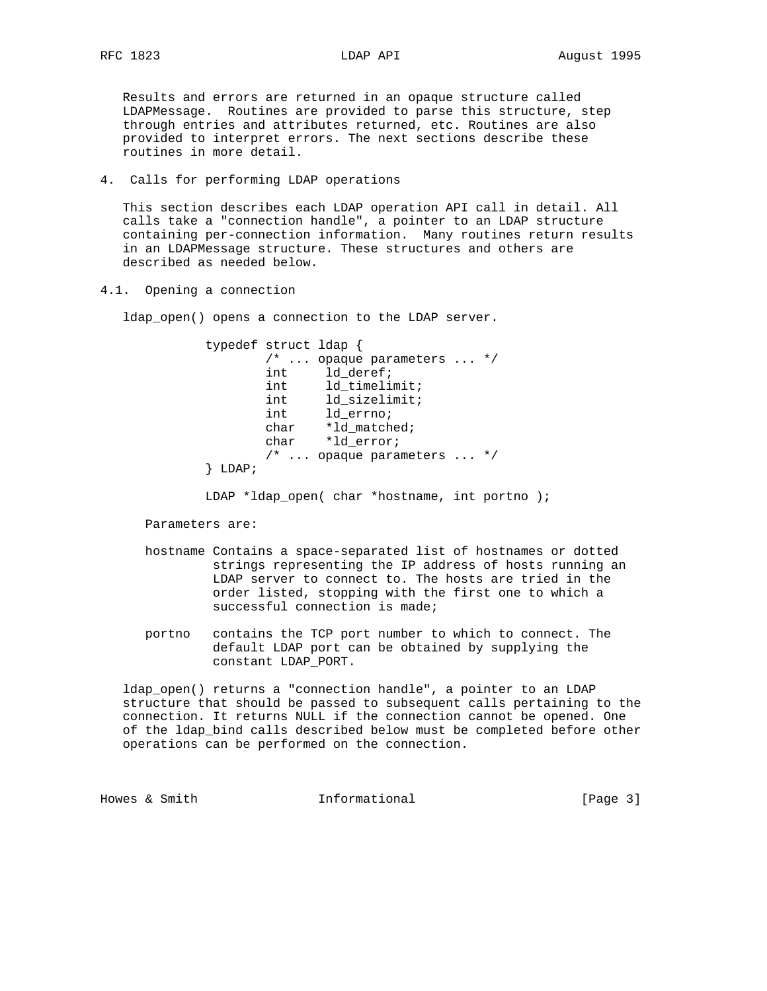Results and errors are returned in an opaque structure called LDAPMessage. Routines are provided to parse this structure, step through entries and attributes returned, etc. Routines are also provided to interpret errors. The next sections describe these routines in more detail.

4. Calls for performing LDAP operations

 This section describes each LDAP operation API call in detail. All calls take a "connection handle", a pointer to an LDAP structure containing per-connection information. Many routines return results in an LDAPMessage structure. These structures and others are described as needed below.

4.1. Opening a connection

ldap\_open() opens a connection to the LDAP server.

 typedef struct ldap { /\* ... opaque parameters ... \*/ int  $ld$ \_deref; int 1d\_timelimit; int 1d\_sizelimit; int  $ld$ \_errno; char \*ld\_matched; char \*ld\_error; /\* ... opaque parameters ... \*/ } LDAP;

Parameters are:

- hostname Contains a space-separated list of hostnames or dotted strings representing the IP address of hosts running an LDAP server to connect to. The hosts are tried in the order listed, stopping with the first one to which a successful connection is made;
- portno contains the TCP port number to which to connect. The default LDAP port can be obtained by supplying the constant LDAP\_PORT.

 ldap\_open() returns a "connection handle", a pointer to an LDAP structure that should be passed to subsequent calls pertaining to the connection. It returns NULL if the connection cannot be opened. One of the ldap\_bind calls described below must be completed before other operations can be performed on the connection.

Howes & Smith  $I_n$  Informational informational [Page 3]

LDAP \*ldap\_open( char \*hostname, int portno );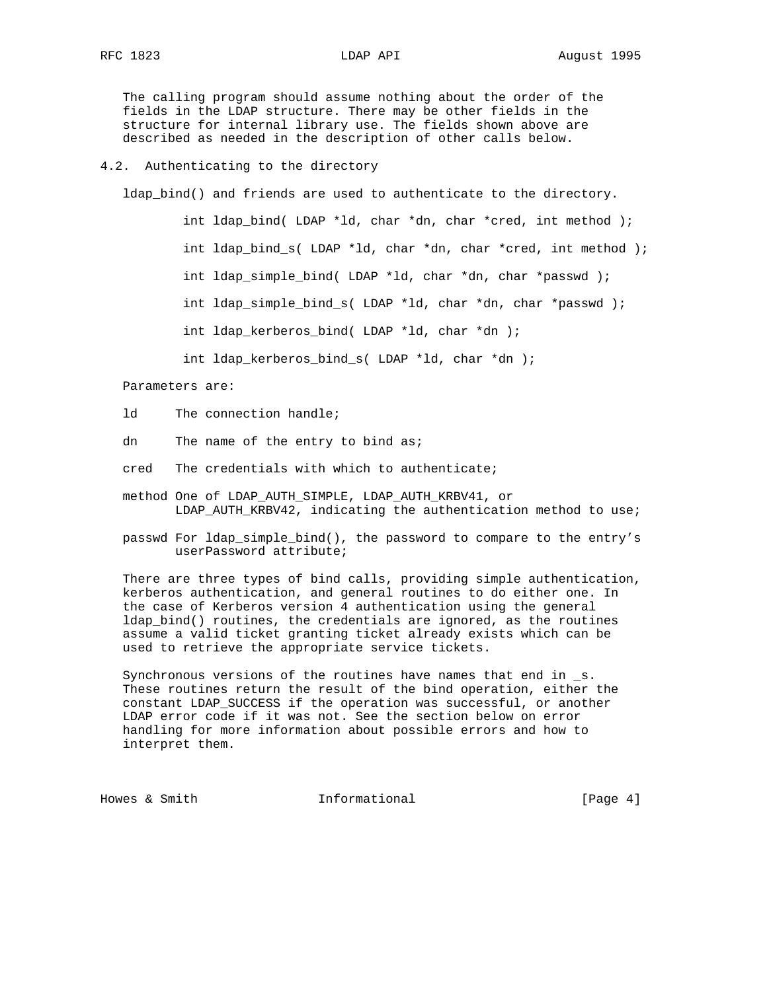The calling program should assume nothing about the order of the fields in the LDAP structure. There may be other fields in the structure for internal library use. The fields shown above are described as needed in the description of other calls below.

## 4.2. Authenticating to the directory

ldap\_bind() and friends are used to authenticate to the directory.

 int ldap\_bind( LDAP \*ld, char \*dn, char \*cred, int method ); int ldap\_bind\_s( LDAP \*ld, char \*dn, char \*cred, int method ); int ldap\_simple\_bind( LDAP \*ld, char \*dn, char \*passwd ); int ldap simple bind  $s($  LDAP \*ld, char \*dn, char \*passwd ); int ldap\_kerberos\_bind( LDAP \*ld, char \*dn ); int ldap\_kerberos\_bind\_s( LDAP \*ld, char \*dn );

### Parameters are:

- ld The connection handle;
- dn The name of the entry to bind as;
- cred The credentials with which to authenticate;
- method One of LDAP\_AUTH\_SIMPLE, LDAP\_AUTH\_KRBV41, or LDAP\_AUTH\_KRBV42, indicating the authentication method to use;
- passwd For ldap\_simple\_bind(), the password to compare to the entry's userPassword attribute;

 There are three types of bind calls, providing simple authentication, kerberos authentication, and general routines to do either one. In the case of Kerberos version 4 authentication using the general ldap\_bind() routines, the credentials are ignored, as the routines assume a valid ticket granting ticket already exists which can be used to retrieve the appropriate service tickets.

 Synchronous versions of the routines have names that end in \_s. These routines return the result of the bind operation, either the constant LDAP\_SUCCESS if the operation was successful, or another LDAP error code if it was not. See the section below on error handling for more information about possible errors and how to interpret them.

Howes & Smith  $Informational$  [Page 4]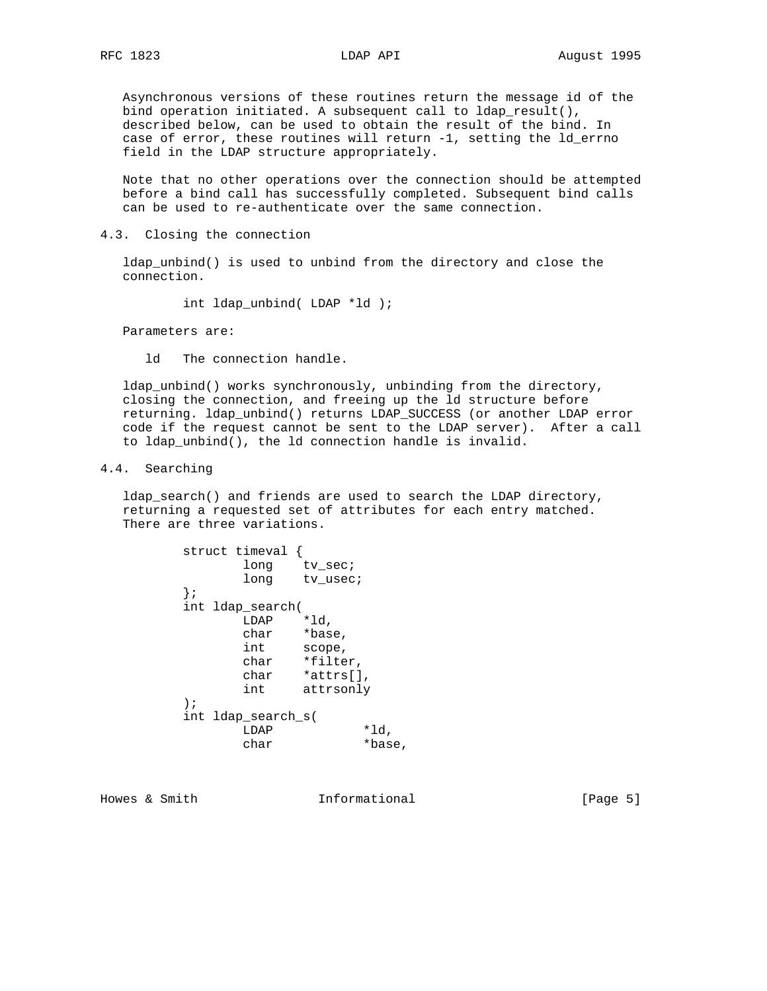Asynchronous versions of these routines return the message id of the bind operation initiated. A subsequent call to ldap\_result(), described below, can be used to obtain the result of the bind. In case of error, these routines will return -1, setting the ld\_errno field in the LDAP structure appropriately.

 Note that no other operations over the connection should be attempted before a bind call has successfully completed. Subsequent bind calls can be used to re-authenticate over the same connection.

4.3. Closing the connection

 ldap\_unbind() is used to unbind from the directory and close the connection.

int ldap\_unbind( LDAP \*ld );

Parameters are:

ld The connection handle.

 ldap\_unbind() works synchronously, unbinding from the directory, closing the connection, and freeing up the ld structure before returning. ldap\_unbind() returns LDAP\_SUCCESS (or another LDAP error code if the request cannot be sent to the LDAP server). After a call to ldap\_unbind(), the ld connection handle is invalid.

## 4.4. Searching

 ldap\_search() and friends are used to search the LDAP directory, returning a requested set of attributes for each entry matched. There are three variations.

|               | struct timeval     |           |        |
|---------------|--------------------|-----------|--------|
|               | long               | tv sec;   |        |
|               | long               | tv usec;  |        |
| ł;            |                    |           |        |
|               | int ldap_search(   |           |        |
|               | LDAP               | *ld.      |        |
|               | char               | *base,    |        |
|               | int                | scope,    |        |
|               | char               | *filter,  |        |
|               | char               | *attrs[], |        |
|               | int                | attrsonly |        |
| $\rightarrow$ |                    |           |        |
|               | int ldap_search_s( |           |        |
|               | LDAP               |           | *ld,   |
|               | char               |           | *base, |

Howes & Smith  $Informational$  [Page 5]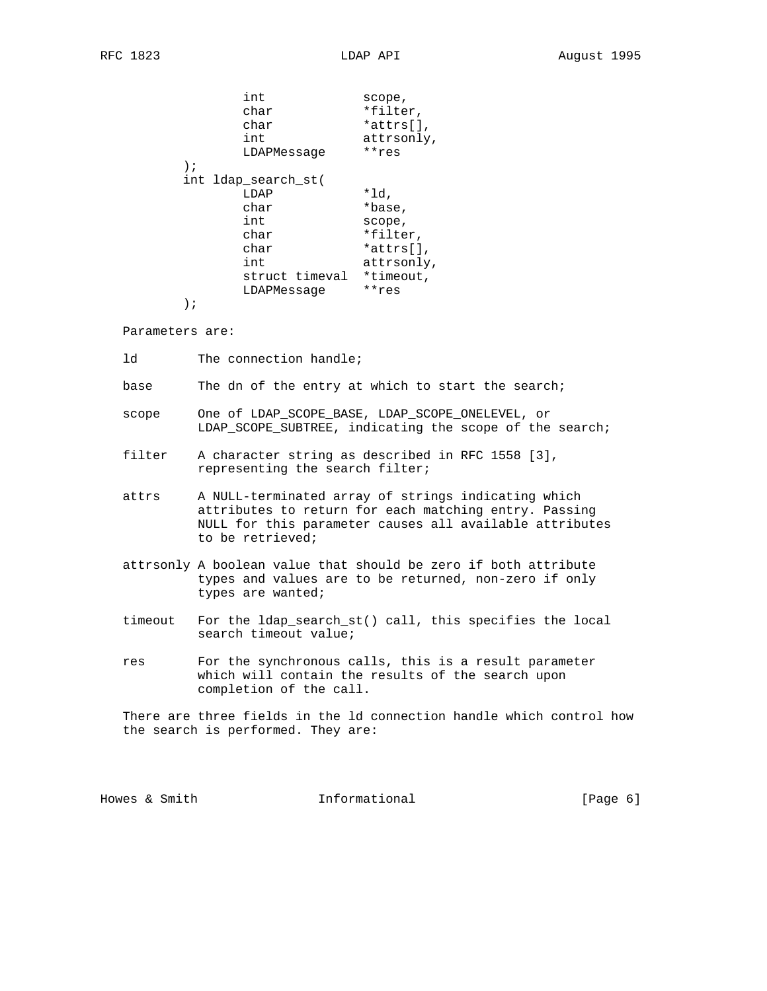|    | int<br>char<br>char<br>int<br>LDAPMessage | scope,<br>*filter,<br>$*atters[]$ ,<br>attrsonly,<br>**res |
|----|-------------------------------------------|------------------------------------------------------------|
| ); |                                           |                                                            |
|    | int ldap_search_st(                       |                                                            |
|    | LDAP                                      | *ld,                                                       |
|    | char                                      | *base,                                                     |
|    | int                                       | scope,                                                     |
|    | char                                      | *filter,                                                   |
|    | char                                      | $*attrs[]$ ,                                               |
|    | int                                       | attrsonly,                                                 |
|    | struct timeval                            | *timeout,                                                  |
|    | LDAPMessage                               | **res                                                      |
| i  |                                           |                                                            |
|    |                                           |                                                            |

Parameters are:

ld The connection handle;

base The dn of the entry at which to start the search;

- scope One of LDAP\_SCOPE\_BASE, LDAP\_SCOPE\_ONELEVEL, or LDAP\_SCOPE\_SUBTREE, indicating the scope of the search;
- filter A character string as described in RFC 1558 [3], representing the search filter;
- attrs A NULL-terminated array of strings indicating which attributes to return for each matching entry. Passing NULL for this parameter causes all available attributes to be retrieved;
- attrsonly A boolean value that should be zero if both attribute types and values are to be returned, non-zero if only types are wanted;
- timeout For the ldap\_search\_st() call, this specifies the local search timeout value;
- res For the synchronous calls, this is a result parameter which will contain the results of the search upon completion of the call.

 There are three fields in the ld connection handle which control how the search is performed. They are:

Howes & Smith  $Informational$  [Page 6]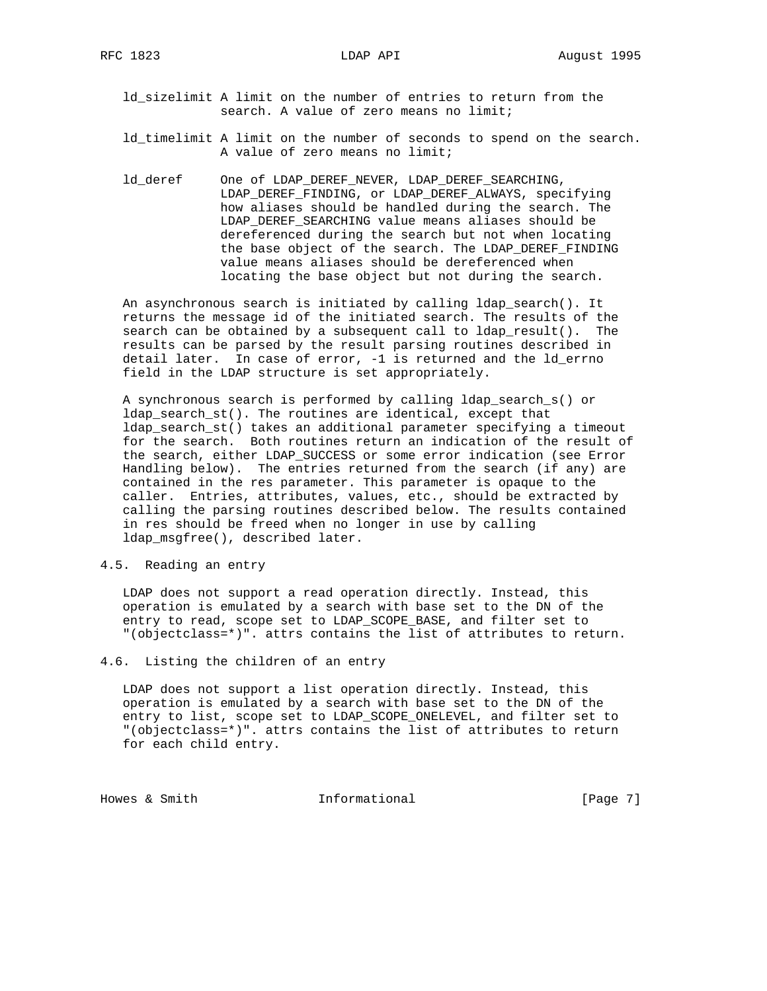- ld\_sizelimit A limit on the number of entries to return from the search. A value of zero means no limit;
- ld\_timelimit A limit on the number of seconds to spend on the search. A value of zero means no limit;
- ld\_deref One of LDAP\_DEREF\_NEVER, LDAP\_DEREF\_SEARCHING, LDAP\_DEREF\_FINDING, or LDAP\_DEREF\_ALWAYS, specifying how aliases should be handled during the search. The LDAP DEREF SEARCHING value means aliases should be dereferenced during the search but not when locating the base object of the search. The LDAP\_DEREF\_FINDING value means aliases should be dereferenced when locating the base object but not during the search.

 An asynchronous search is initiated by calling ldap\_search(). It returns the message id of the initiated search. The results of the search can be obtained by a subsequent call to ldap\_result(). The results can be parsed by the result parsing routines described in detail later. In case of error, -1 is returned and the ld\_errno field in the LDAP structure is set appropriately.

 A synchronous search is performed by calling ldap\_search\_s() or ldap\_search\_st(). The routines are identical, except that ldap\_search\_st() takes an additional parameter specifying a timeout for the search. Both routines return an indication of the result of the search, either LDAP\_SUCCESS or some error indication (see Error Handling below). The entries returned from the search (if any) are contained in the res parameter. This parameter is opaque to the caller. Entries, attributes, values, etc., should be extracted by calling the parsing routines described below. The results contained in res should be freed when no longer in use by calling ldap\_msgfree(), described later.

## 4.5. Reading an entry

 LDAP does not support a read operation directly. Instead, this operation is emulated by a search with base set to the DN of the entry to read, scope set to LDAP\_SCOPE\_BASE, and filter set to "(objectclass=\*)". attrs contains the list of attributes to return.

4.6. Listing the children of an entry

 LDAP does not support a list operation directly. Instead, this operation is emulated by a search with base set to the DN of the entry to list, scope set to LDAP\_SCOPE\_ONELEVEL, and filter set to "(objectclass=\*)". attrs contains the list of attributes to return for each child entry.

Howes & Smith  $Informational$  [Page 7]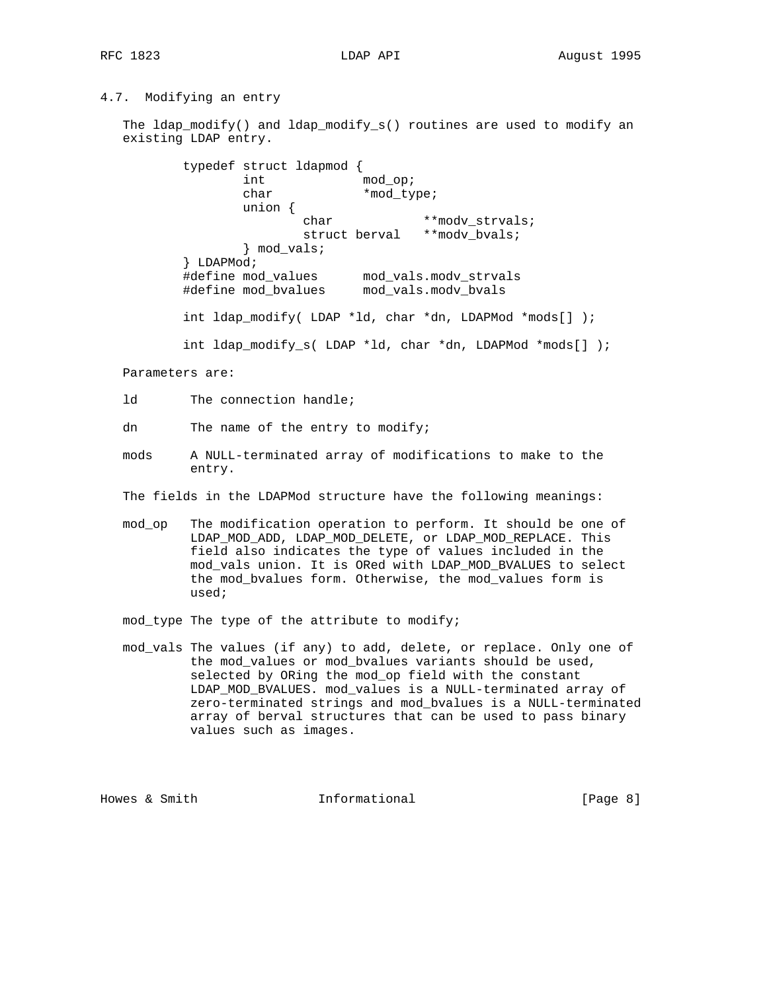## 4.7. Modifying an entry

 The ldap\_modify() and ldap\_modify\_s() routines are used to modify an existing LDAP entry.

 typedef struct ldapmod { int mod\_op; char \*mod\_type; union { char \*\*modv strvals; struct berval \*\*modv\_bvals; } mod\_vals; } LDAPMod; #define mod\_values mod\_vals.modv\_strvals #define mod\_bvalues mod\_vals.modv\_bvals int ldap\_modify( LDAP \*ld, char \*dn, LDAPMod \*mods[] ); int ldap\_modify\_s( LDAP \*ld, char \*dn, LDAPMod \*mods[] );

Parameters are:

ld The connection handle;

dn The name of the entry to modify;

- mods A NULL-terminated array of modifications to make to the entry.
- The fields in the LDAPMod structure have the following meanings:
- mod\_op The modification operation to perform. It should be one of LDAP\_MOD\_ADD, LDAP\_MOD\_DELETE, or LDAP\_MOD\_REPLACE. This field also indicates the type of values included in the mod\_vals union. It is ORed with LDAP\_MOD\_BVALUES to select the mod\_bvalues form. Otherwise, the mod\_values form is used;

mod\_type The type of the attribute to modify;

 mod\_vals The values (if any) to add, delete, or replace. Only one of the mod\_values or mod\_bvalues variants should be used, selected by ORing the mod\_op field with the constant LDAP\_MOD\_BVALUES. mod\_values is a NULL-terminated array of zero-terminated strings and mod\_bvalues is a NULL-terminated array of berval structures that can be used to pass binary values such as images.

Howes & Smith  $Informational$  [Page 8]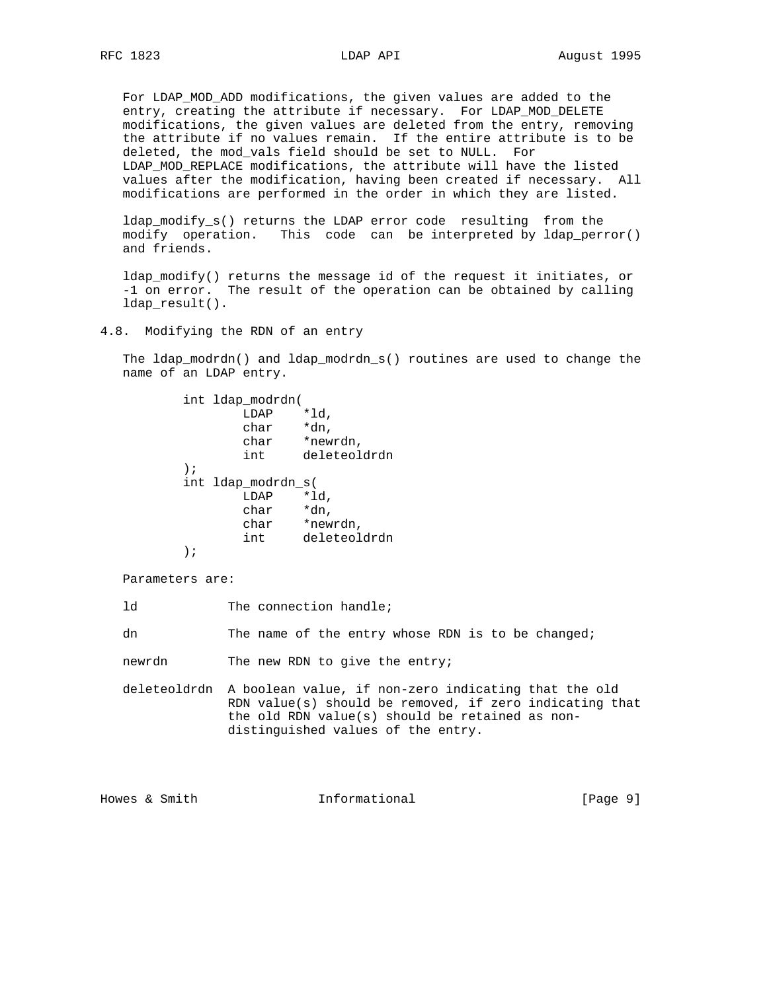For LDAP\_MOD\_ADD modifications, the given values are added to the entry, creating the attribute if necessary. For LDAP\_MOD\_DELETE modifications, the given values are deleted from the entry, removing the attribute if no values remain. If the entire attribute is to be deleted, the mod\_vals field should be set to NULL. For LDAP\_MOD\_REPLACE modifications, the attribute will have the listed values after the modification, having been created if necessary. All modifications are performed in the order in which they are listed.

 ldap\_modify\_s() returns the LDAP error code resulting from the modify operation. This code can be interpreted by ldap\_perror() and friends.

 ldap\_modify() returns the message id of the request it initiates, or -1 on error. The result of the operation can be obtained by calling ldap\_result().

4.8. Modifying the RDN of an entry

 The ldap\_modrdn() and ldap\_modrdn\_s() routines are used to change the name of an LDAP entry.

> int ldap\_modrdn( LDAP \*ld,<br>char \*dn,  $char$  char \*newrdn, int deleteoldrdn ); int ldap\_modrdn\_s( LDAP \*ld, char \*dn, char \*newrdn, int deleteoldrdn );

Parameters are:

ld The connection handle;

dn The name of the entry whose RDN is to be changed;

newrdn The new RDN to give the entry;

 deleteoldrdn A boolean value, if non-zero indicating that the old RDN value(s) should be removed, if zero indicating that the old RDN value(s) should be retained as non distinguished values of the entry.

Howes & Smith  $I$ nformational (Page 9)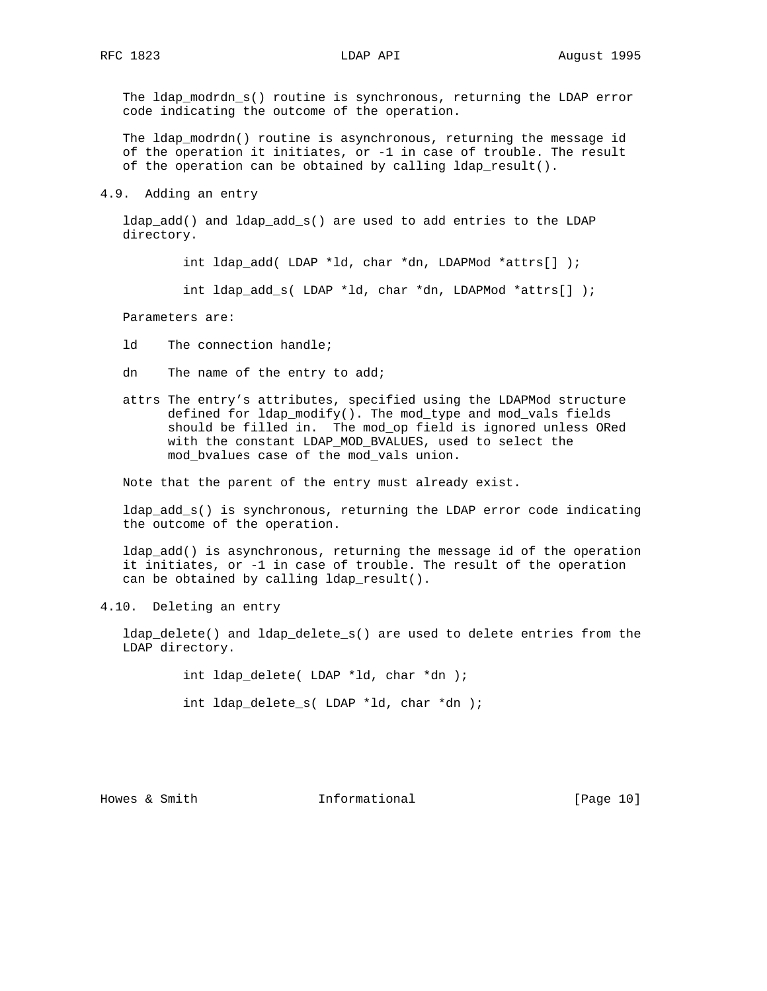The ldap\_modrdn\_s() routine is synchronous, returning the LDAP error code indicating the outcome of the operation.

 The ldap\_modrdn() routine is asynchronous, returning the message id of the operation it initiates, or -1 in case of trouble. The result of the operation can be obtained by calling ldap\_result().

### 4.9. Adding an entry

 ldap\_add() and ldap\_add\_s() are used to add entries to the LDAP directory.

int ldap\_add( LDAP \*ld, char \*dn, LDAPMod \*attrs[] );

int ldap\_add\_s( LDAP \*ld, char \*dn, LDAPMod \*attrs[] );

Parameters are:

ld The connection handle;

- dn The name of the entry to add;
- attrs The entry's attributes, specified using the LDAPMod structure defined for ldap\_modify(). The mod\_type and mod\_vals fields should be filled in. The mod\_op field is ignored unless ORed with the constant LDAP\_MOD\_BVALUES, used to select the mod\_bvalues case of the mod\_vals union.

Note that the parent of the entry must already exist.

 ldap\_add\_s() is synchronous, returning the LDAP error code indicating the outcome of the operation.

 ldap\_add() is asynchronous, returning the message id of the operation it initiates, or -1 in case of trouble. The result of the operation can be obtained by calling ldap\_result().

4.10. Deleting an entry

 ldap\_delete() and ldap\_delete\_s() are used to delete entries from the LDAP directory.

int ldap\_delete( LDAP \*ld, char \*dn );

int ldap\_delete\_s( LDAP \*ld, char \*dn );

Howes & Smith  $Informational$  [Page 10]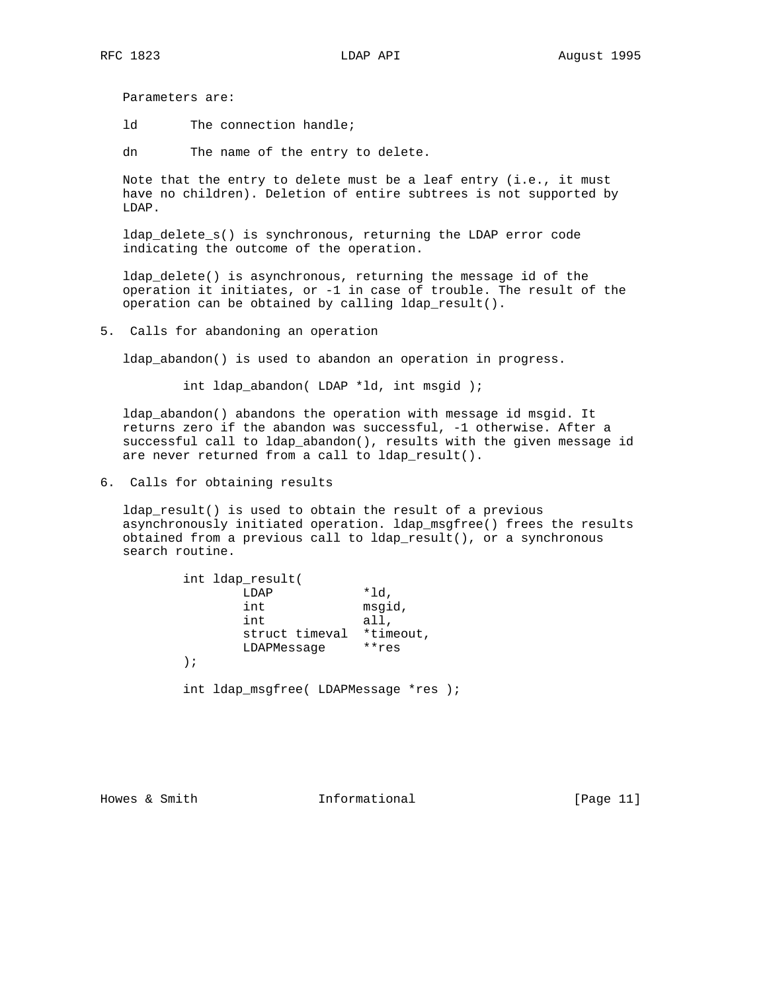Parameters are:

ld The connection handle;

dn The name of the entry to delete.

 Note that the entry to delete must be a leaf entry (i.e., it must have no children). Deletion of entire subtrees is not supported by LDAP.

 ldap\_delete\_s() is synchronous, returning the LDAP error code indicating the outcome of the operation.

 ldap\_delete() is asynchronous, returning the message id of the operation it initiates, or -1 in case of trouble. The result of the operation can be obtained by calling ldap\_result().

5. Calls for abandoning an operation

ldap\_abandon() is used to abandon an operation in progress.

int ldap\_abandon( LDAP \*ld, int msgid );

 ldap\_abandon() abandons the operation with message id msgid. It returns zero if the abandon was successful, -1 otherwise. After a successful call to ldap\_abandon(), results with the given message id are never returned from a call to ldap\_result().

6. Calls for obtaining results

 ldap\_result() is used to obtain the result of a previous asynchronously initiated operation. ldap\_msgfree() frees the results obtained from a previous call to ldap\_result(), or a synchronous search routine.

|    | int ldap result(                      |           |
|----|---------------------------------------|-----------|
|    | LDAP                                  | *ld,      |
|    | int                                   | msgid,    |
|    | int                                   | all,      |
|    | struct timeval                        | *timeout, |
|    | LDAPMessage                           | $***res$  |
| ); |                                       |           |
|    | int ldap msqfree( LDAPMessage *res ); |           |

Howes & Smith Tnformational [Page 11]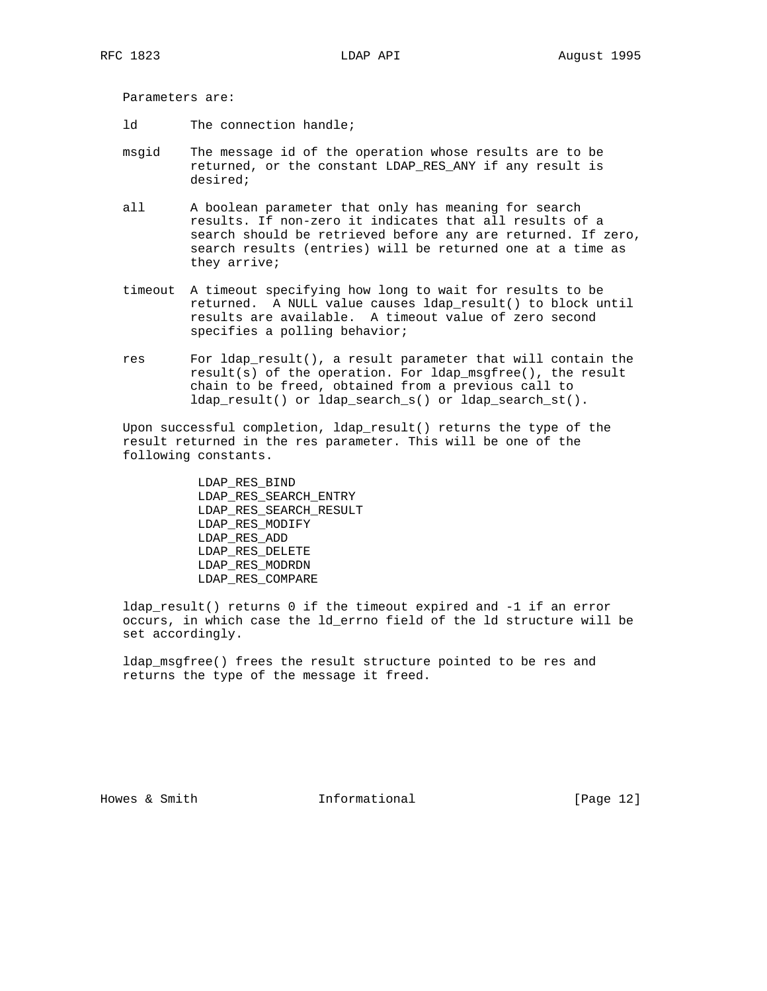Parameters are:

- ld The connection handle;
- msgid The message id of the operation whose results are to be returned, or the constant LDAP\_RES\_ANY if any result is desired;
- all A boolean parameter that only has meaning for search results. If non-zero it indicates that all results of a search should be retrieved before any are returned. If zero, search results (entries) will be returned one at a time as they arrive;
- timeout A timeout specifying how long to wait for results to be returned. A NULL value causes ldap\_result() to block until results are available. A timeout value of zero second specifies a polling behavior;
- res For ldap\_result(), a result parameter that will contain the result(s) of the operation. For ldap\_msgfree(), the result chain to be freed, obtained from a previous call to ldap\_result() or ldap\_search\_s() or ldap\_search\_st().

 Upon successful completion, ldap\_result() returns the type of the result returned in the res parameter. This will be one of the following constants.

> LDAP\_RES\_BIND LDAP\_RES\_SEARCH\_ENTRY LDAP\_RES\_SEARCH\_RESULT LDAP\_RES\_MODIFY LDAP\_RES\_ADD LDAP\_RES\_DELETE LDAP\_RES\_MODRDN LDAP\_RES\_COMPARE

 ldap\_result() returns 0 if the timeout expired and -1 if an error occurs, in which case the ld\_errno field of the ld structure will be set accordingly.

 ldap\_msgfree() frees the result structure pointed to be res and returns the type of the message it freed.

Howes & Smith  $Informational$  [Page 12]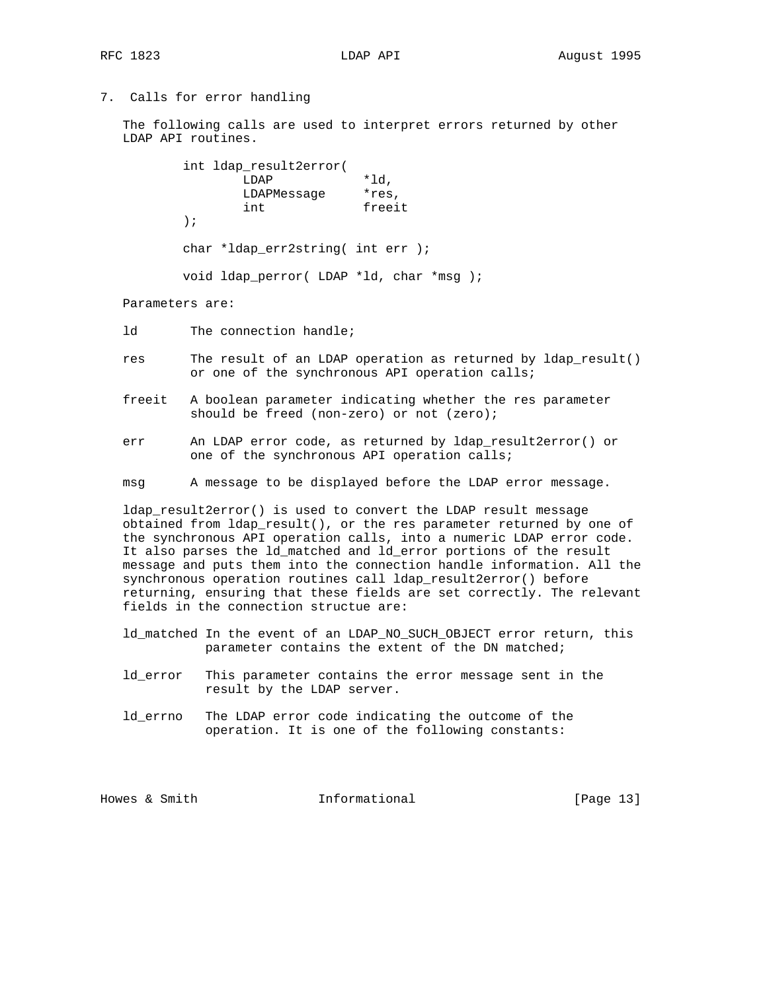## 7. Calls for error handling

 The following calls are used to interpret errors returned by other LDAP API routines.

|         | int ldap result2error(                   |        |  |  |
|---------|------------------------------------------|--------|--|--|
|         | LDAP                                     | *ld.   |  |  |
|         | LDAPMessage                              | *res,  |  |  |
|         | int                                      | freeit |  |  |
| $\cdot$ |                                          |        |  |  |
|         | char *ldap err2string( int err );        |        |  |  |
|         | void ldap perror( LDAP *ld, char *msq ); |        |  |  |

Parameters are:

- ld The connection handle;
- res The result of an LDAP operation as returned by ldap\_result() or one of the synchronous API operation calls;
- freeit A boolean parameter indicating whether the res parameter should be freed (non-zero) or not (zero);
- err An LDAP error code, as returned by ldap\_result2error() or one of the synchronous API operation calls;
- msg A message to be displayed before the LDAP error message.

 ldap\_result2error() is used to convert the LDAP result message obtained from ldap\_result(), or the res parameter returned by one of the synchronous API operation calls, into a numeric LDAP error code. It also parses the ld\_matched and ld\_error portions of the result message and puts them into the connection handle information. All the synchronous operation routines call ldap\_result2error() before returning, ensuring that these fields are set correctly. The relevant fields in the connection structue are:

- ld\_matched In the event of an LDAP\_NO\_SUCH\_OBJECT error return, this parameter contains the extent of the DN matched;
- ld\_error This parameter contains the error message sent in the result by the LDAP server.
- ld\_errno The LDAP error code indicating the outcome of the operation. It is one of the following constants:

Howes & Smith  $Informational$  [Page 13]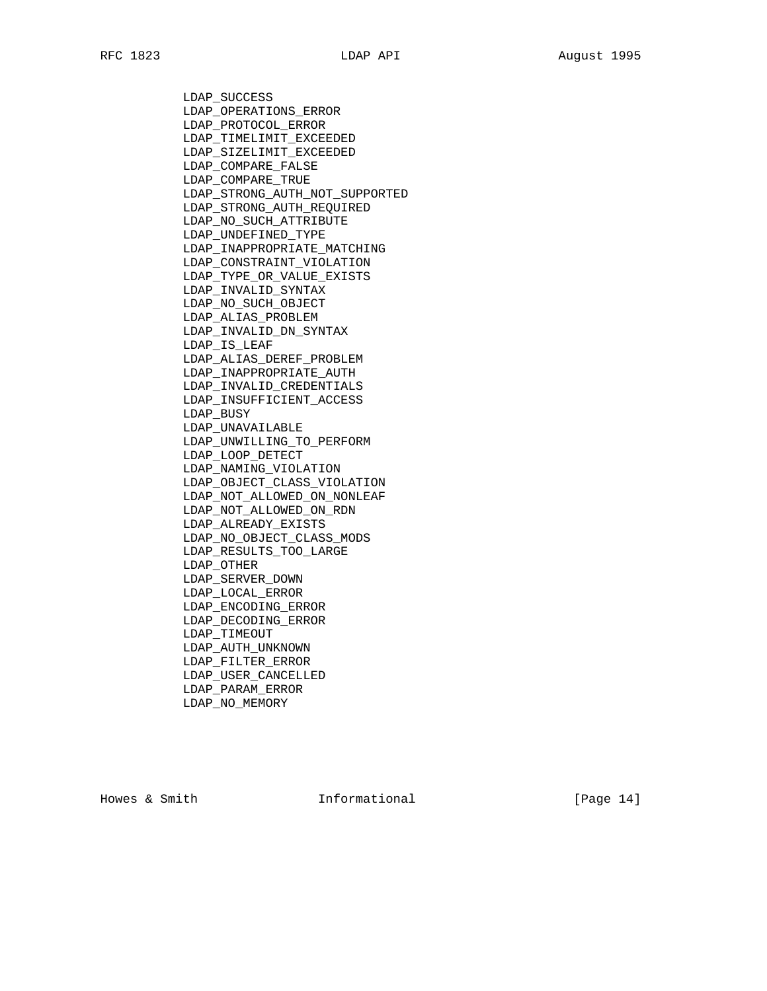LDAP\_SUCCESS LDAP\_OPERATIONS\_ERROR LDAP\_PROTOCOL\_ERROR LDAP\_TIMELIMIT\_EXCEEDED LDAP\_SIZELIMIT\_EXCEEDED LDAP\_COMPARE\_FALSE LDAP\_COMPARE\_TRUE LDAP\_STRONG\_AUTH\_NOT\_SUPPORTED LDAP\_STRONG\_AUTH\_REQUIRED LDAP\_NO\_SUCH\_ATTRIBUTE LDAP\_UNDEFINED\_TYPE LDAP\_INAPPROPRIATE\_MATCHING LDAP\_CONSTRAINT\_VIOLATION LDAP\_TYPE\_OR\_VALUE\_EXISTS LDAP\_INVALID\_SYNTAX LDAP\_NO\_SUCH\_OBJECT LDAP\_ALIAS\_PROBLEM LDAP\_INVALID\_DN\_SYNTAX LDAP\_IS\_LEAF LDAP\_ALIAS\_DEREF\_PROBLEM LDAP\_INAPPROPRIATE\_AUTH LDAP\_INVALID\_CREDENTIALS LDAP\_INSUFFICIENT\_ACCESS LDAP\_BUSY LDAP\_UNAVAILABLE LDAP\_UNWILLING\_TO\_PERFORM LDAP\_LOOP\_DETECT LDAP\_NAMING\_VIOLATION LDAP\_OBJECT\_CLASS\_VIOLATION LDAP\_NOT\_ALLOWED\_ON\_NONLEAF LDAP\_NOT\_ALLOWED\_ON\_RDN LDAP\_ALREADY\_EXISTS LDAP\_NO\_OBJECT\_CLASS\_MODS LDAP\_RESULTS\_TOO\_LARGE LDAP\_OTHER LDAP\_SERVER\_DOWN LDAP\_LOCAL\_ERROR LDAP\_ENCODING\_ERROR LDAP\_DECODING\_ERROR LDAP\_TIMEOUT LDAP\_AUTH\_UNKNOWN LDAP\_FILTER\_ERROR LDAP\_USER\_CANCELLED LDAP\_PARAM\_ERROR LDAP\_NO\_MEMORY

Howes & Smith  $Informational$  [Page 14]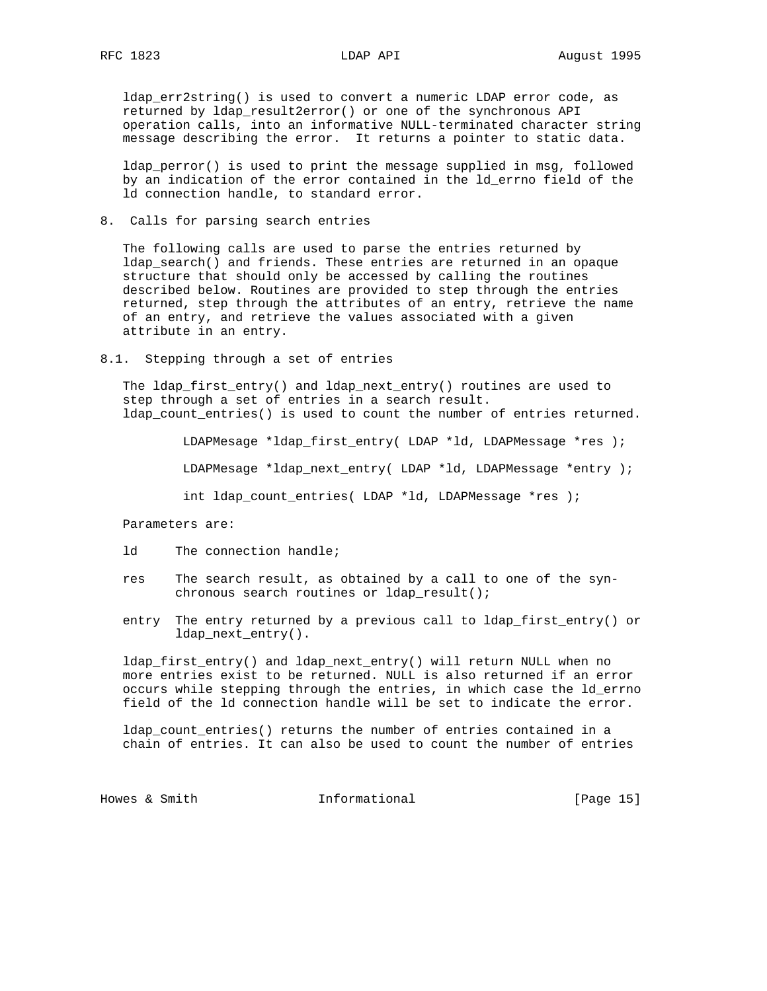ldap\_err2string() is used to convert a numeric LDAP error code, as returned by ldap\_result2error() or one of the synchronous API operation calls, into an informative NULL-terminated character string message describing the error. It returns a pointer to static data.

ldap\_perror() is used to print the message supplied in msg, followed by an indication of the error contained in the ld\_errno field of the ld connection handle, to standard error.

8. Calls for parsing search entries

 The following calls are used to parse the entries returned by ldap search() and friends. These entries are returned in an opaque structure that should only be accessed by calling the routines described below. Routines are provided to step through the entries returned, step through the attributes of an entry, retrieve the name of an entry, and retrieve the values associated with a given attribute in an entry.

8.1. Stepping through a set of entries

 The ldap\_first\_entry() and ldap\_next\_entry() routines are used to step through a set of entries in a search result. ldap\_count\_entries() is used to count the number of entries returned.

LDAPMesage \*ldap\_first\_entry( LDAP \*ld, LDAPMessage \*res );

LDAPMesage \*ldap\_next\_entry( LDAP \*ld, LDAPMessage \*entry );

int ldap\_count\_entries( LDAP \*ld, LDAPMessage \*res );

Parameters are:

- ld The connection handle;
- res The search result, as obtained by a call to one of the syn chronous search routines or ldap\_result();
- entry The entry returned by a previous call to ldap\_first\_entry() or ldap next entry().

 ldap\_first\_entry() and ldap\_next\_entry() will return NULL when no more entries exist to be returned. NULL is also returned if an error occurs while stepping through the entries, in which case the ld\_errno field of the ld connection handle will be set to indicate the error.

 ldap\_count\_entries() returns the number of entries contained in a chain of entries. It can also be used to count the number of entries

Howes & Smith **Informational** [Page 15]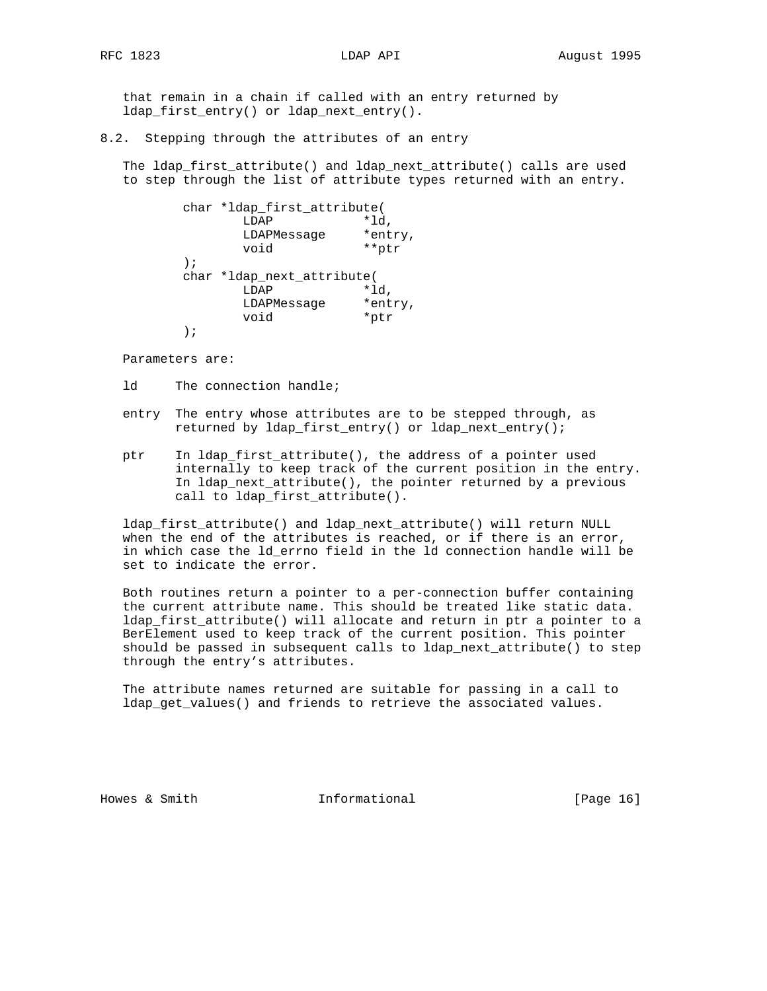that remain in a chain if called with an entry returned by ldap\_first\_entry() or ldap\_next\_entry().

## 8.2. Stepping through the attributes of an entry

 The ldap\_first\_attribute() and ldap\_next\_attribute() calls are used to step through the list of attribute types returned with an entry.

 char \*ldap\_first\_attribute( LDAP \*ld, LDAPMessage \*entry, void \*\*ptr ); char \*ldap\_next\_attribute( LDAP \*ld, LDAPMessage \*entry, void \*ptr );

Parameters are:

- ld The connection handle;
- entry The entry whose attributes are to be stepped through, as returned by ldap\_first\_entry() or ldap\_next\_entry();
- ptr In ldap\_first\_attribute(), the address of a pointer used internally to keep track of the current position in the entry. In ldap\_next\_attribute(), the pointer returned by a previous call to ldap\_first\_attribute().

 ldap\_first\_attribute() and ldap\_next\_attribute() will return NULL when the end of the attributes is reached, or if there is an error, in which case the ld\_errno field in the ld connection handle will be set to indicate the error.

 Both routines return a pointer to a per-connection buffer containing the current attribute name. This should be treated like static data. ldap\_first\_attribute() will allocate and return in ptr a pointer to a BerElement used to keep track of the current position. This pointer should be passed in subsequent calls to ldap\_next\_attribute() to step through the entry's attributes.

 The attribute names returned are suitable for passing in a call to ldap\_get\_values() and friends to retrieve the associated values.

Howes & Smith  $Informational$  [Page 16]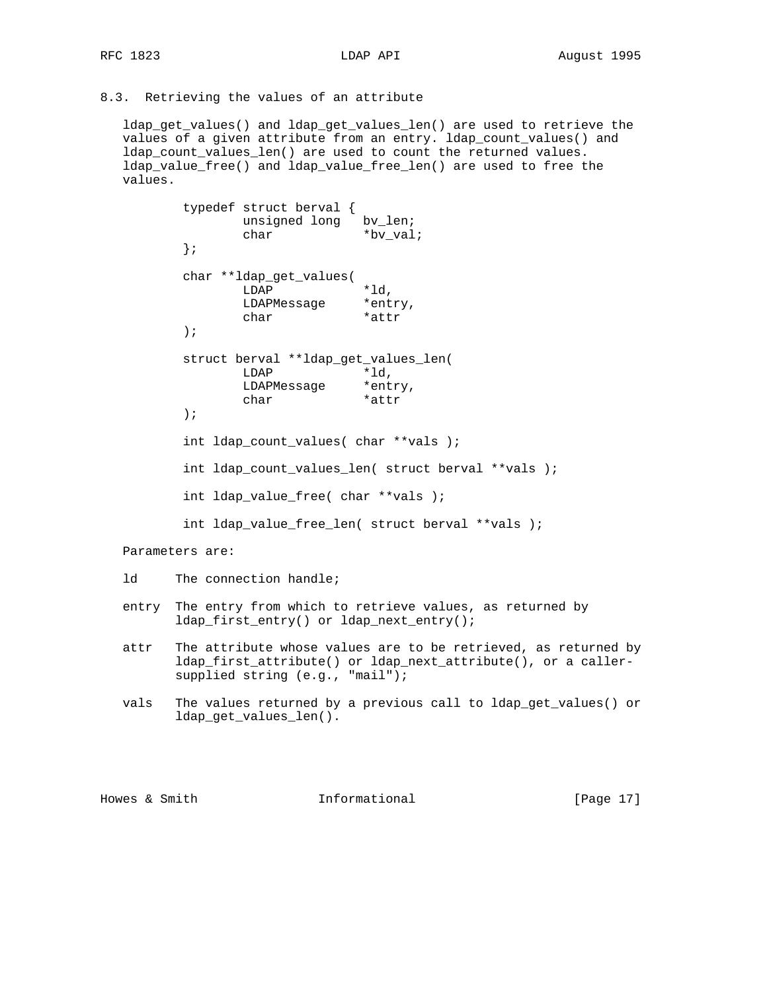8.3. Retrieving the values of an attribute

 ldap\_get\_values() and ldap\_get\_values\_len() are used to retrieve the values of a given attribute from an entry. ldap\_count\_values() and ldap\_count\_values\_len() are used to count the returned values. ldap\_value\_free() and ldap\_value\_free\_len() are used to free the values.

```
 typedef struct berval {
               unsigned long bv_len;
               char *bv_val;
        };
        char **ldap_get_values(
               LDAP *ld,
               LDAPMessage *entry,
              char *attr
        );
        struct berval **ldap_get_values_len(
               LDAP *ld,
               LDAPMessage *entry,
              char *attr
        );
        int ldap_count_values( char **vals );
        int ldap_count_values_len( struct berval **vals );
        int ldap_value_free( char **vals );
        int ldap_value_free_len( struct berval **vals );
 Parameters are:
 ld The connection handle;
 entry The entry from which to retrieve values, as returned by
       ldap_first_entry() or ldap_next_entry();
```
- attr The attribute whose values are to be retrieved, as returned by ldap\_first\_attribute() or ldap\_next\_attribute(), or a caller supplied string (e.g., "mail");
- vals The values returned by a previous call to ldap\_get\_values() or ldap\_get\_values\_len().

Howes & Smith  $Informational$  [Page 17]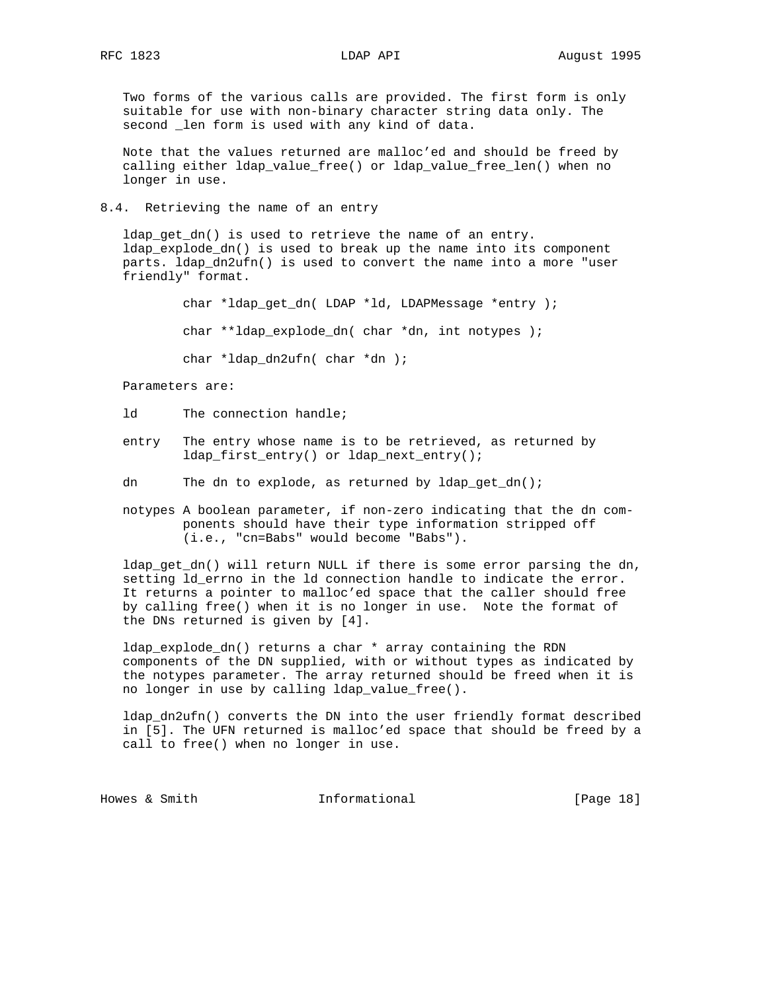Two forms of the various calls are provided. The first form is only suitable for use with non-binary character string data only. The second \_len form is used with any kind of data.

 Note that the values returned are malloc'ed and should be freed by calling either ldap\_value\_free() or ldap\_value\_free\_len() when no longer in use.

8.4. Retrieving the name of an entry

 ldap\_get\_dn() is used to retrieve the name of an entry. ldap\_explode\_dn() is used to break up the name into its component parts. ldap\_dn2ufn() is used to convert the name into a more "user friendly" format.

char \*ldap qet dn( LDAP \*ld, LDAPMessage \*entry );

char \*\*ldap\_explode\_dn( char \*dn, int notypes );

char \*ldap\_dn2ufn( char \*dn );

Parameters are:

- ld The connection handle;
- entry The entry whose name is to be retrieved, as returned by ldap\_first\_entry() or ldap\_next\_entry();

dn The dn to explode, as returned by ldap\_get\_dn();

 notypes A boolean parameter, if non-zero indicating that the dn com ponents should have their type information stripped off (i.e., "cn=Babs" would become "Babs").

 ldap\_get\_dn() will return NULL if there is some error parsing the dn, setting ld\_errno in the ld connection handle to indicate the error. It returns a pointer to malloc'ed space that the caller should free by calling free() when it is no longer in use. Note the format of the DNs returned is given by [4].

 ldap\_explode\_dn() returns a char \* array containing the RDN components of the DN supplied, with or without types as indicated by the notypes parameter. The array returned should be freed when it is no longer in use by calling ldap\_value\_free().

 ldap\_dn2ufn() converts the DN into the user friendly format described in [5]. The UFN returned is malloc'ed space that should be freed by a call to free() when no longer in use.

Howes & Smith **Informational** [Page 18]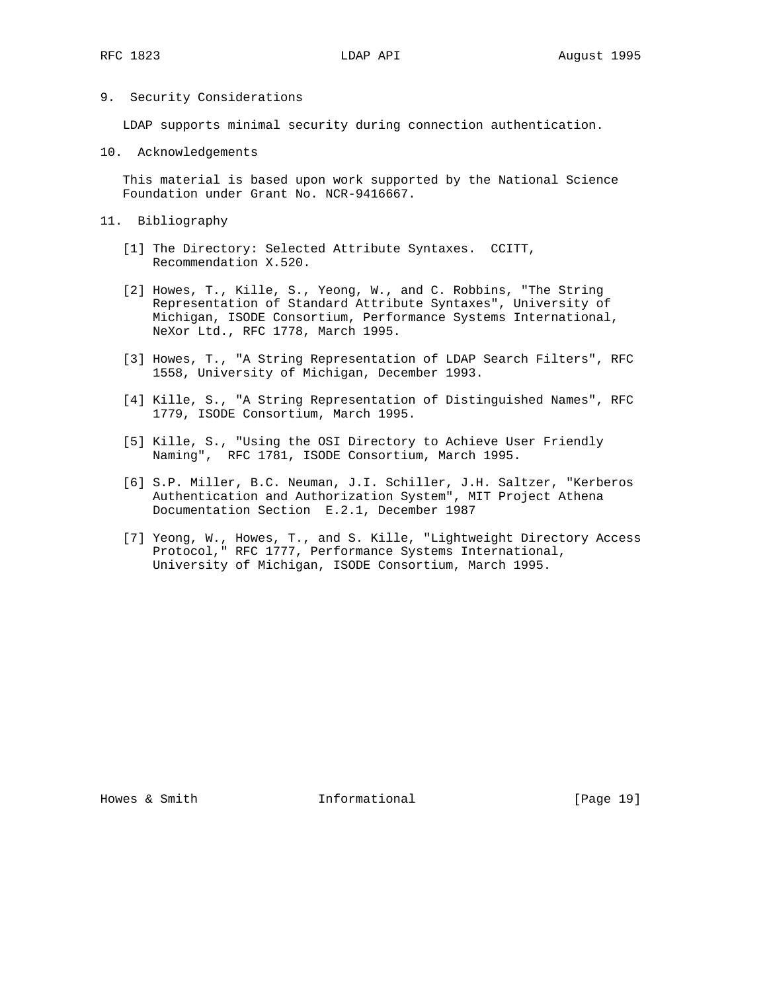## 9. Security Considerations

LDAP supports minimal security during connection authentication.

10. Acknowledgements

 This material is based upon work supported by the National Science Foundation under Grant No. NCR-9416667.

- 11. Bibliography
	- [1] The Directory: Selected Attribute Syntaxes. CCITT, Recommendation X.520.
	- [2] Howes, T., Kille, S., Yeong, W., and C. Robbins, "The String Representation of Standard Attribute Syntaxes", University of Michigan, ISODE Consortium, Performance Systems International, NeXor Ltd., RFC 1778, March 1995.
	- [3] Howes, T., "A String Representation of LDAP Search Filters", RFC 1558, University of Michigan, December 1993.
	- [4] Kille, S., "A String Representation of Distinguished Names", RFC 1779, ISODE Consortium, March 1995.
	- [5] Kille, S., "Using the OSI Directory to Achieve User Friendly Naming", RFC 1781, ISODE Consortium, March 1995.
	- [6] S.P. Miller, B.C. Neuman, J.I. Schiller, J.H. Saltzer, "Kerberos Authentication and Authorization System", MIT Project Athena Documentation Section E.2.1, December 1987
	- [7] Yeong, W., Howes, T., and S. Kille, "Lightweight Directory Access Protocol," RFC 1777, Performance Systems International, University of Michigan, ISODE Consortium, March 1995.

Howes & Smith  $Informational$  [Page 19]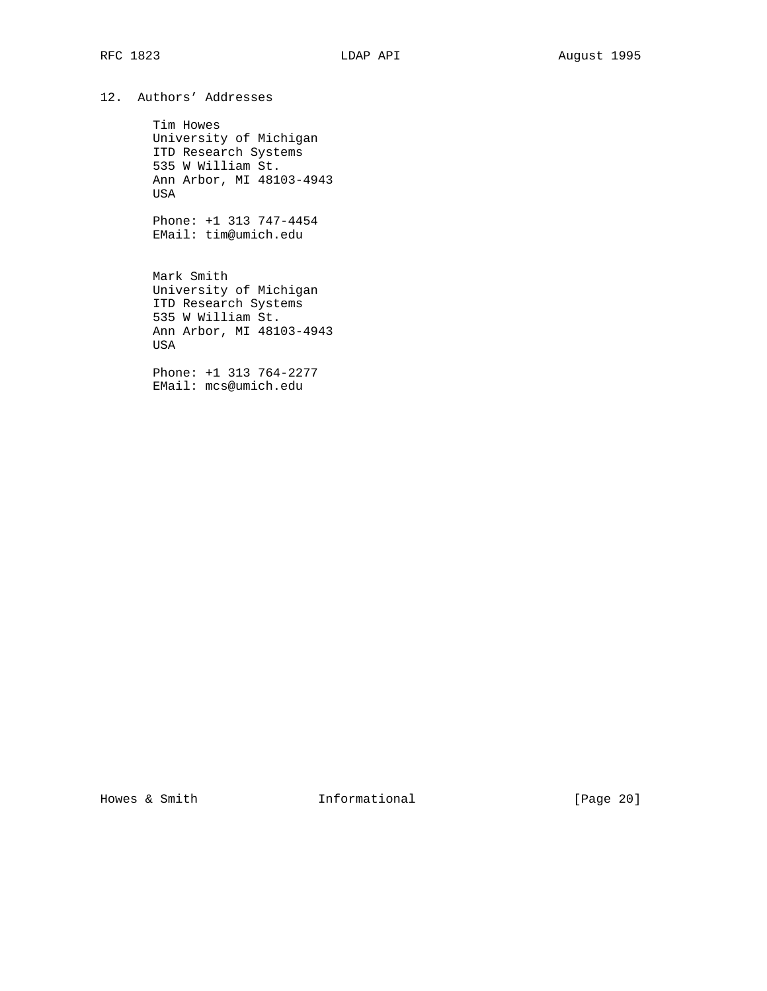# 12. Authors' Addresses

 Tim Howes University of Michigan ITD Research Systems 535 W William St. Ann Arbor, MI 48103-4943 USA

 Phone: +1 313 747-4454 EMail: tim@umich.edu

 Mark Smith University of Michigan ITD Research Systems 535 W William St. Ann Arbor, MI 48103-4943 USA

 Phone: +1 313 764-2277 EMail: mcs@umich.edu

Howes & Smith **Informational** [Page 20]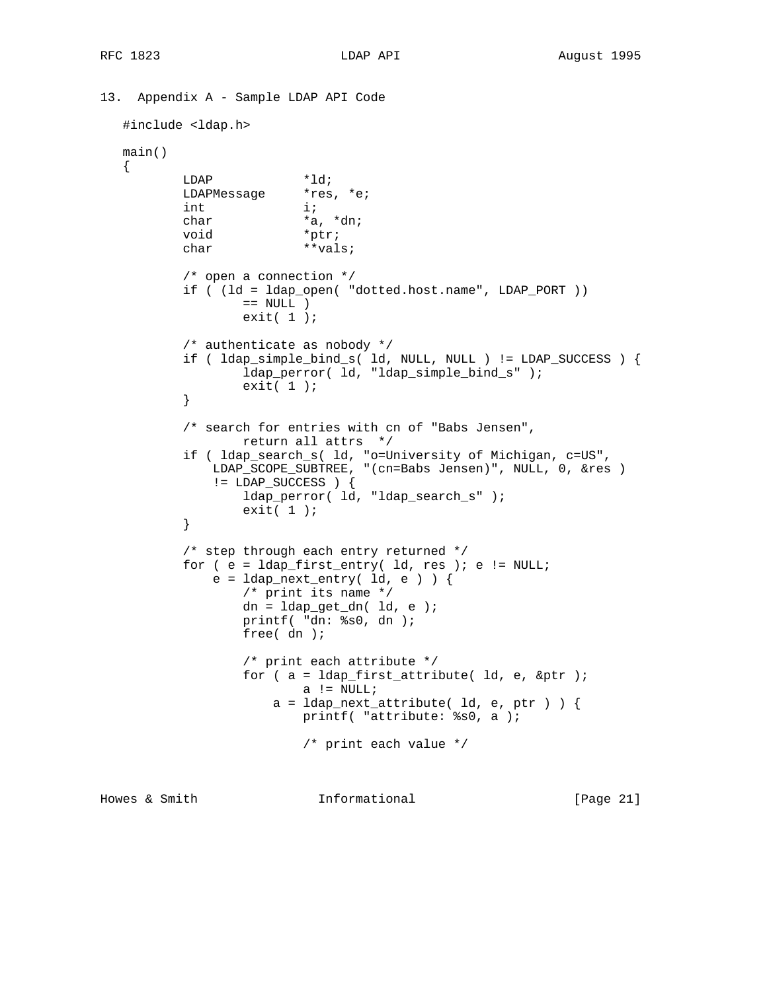```
13. Appendix A - Sample LDAP API Code
   #include <ldap.h>
   main()
   {
LDAP *ld;
LDAPMessage *res, *e;
          int i;
          char *a, *dn;<br>void *ptr;
          void char **vals;
           /* open a connection */
           if ( (ld = ldap_open( "dotted.host.name", LDAP_PORT ))
                 == NULL ) exit( 1 );
           /* authenticate as nobody */
           if ( ldap_simple_bind_s( ld, NULL, NULL ) != LDAP_SUCCESS ) {
                  ldap_perror( ld, "ldap_simple_bind_s" );
          \{ exit( 1 );<br>}
 }
           /* search for entries with cn of "Babs Jensen",
                  return all attrs */
 if ( ldap_search_s( ld, "o=University of Michigan, c=US",
 LDAP_SCOPE_SUBTREE, "(cn=Babs Jensen)", NULL, 0, &res )
               != LDAP_SUCCESS ) {
                  ldap_perror( ld, "ldap_search_s" );
          \{ exit( 1 );<br>}
 }
           /* step through each entry returned */
          for ( e = \text{ldap\_first\_entry} ( \text{ld, res} ); e := \text{NULL};
              e = ldap_next_entry( ld, e ) ) {
                  /* print its name */
                 dn = 1dap_get_dn( ld, e );
                  printf( "dn: %s0, dn );
                  free( dn );
                  /* print each attribute */
                  for ( a = ldap_first_attribute( ld, e, &ptr );
                         a != NULL;
                     a = 1dap_next_attribute( 1d, e, ptr ) ) {
                          printf( "attribute: %s0, a );
                          /* print each value */
Howes & Smith Informational [Page 21]
```